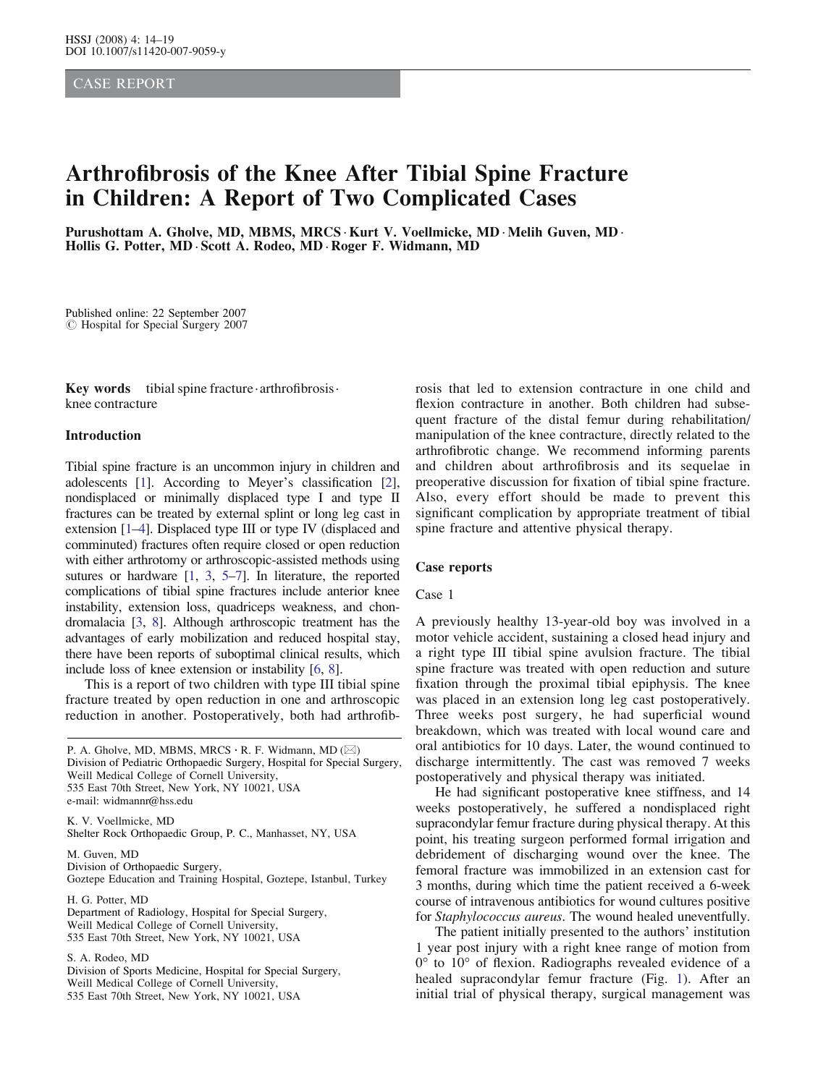# CASE REPORT

# Arthrofibrosis of the Knee After Tibial Spine Fracture in Children: A Report of Two Complicated Cases

Purushottam A. Gholve, MD, MBMS, MRCS · Kurt V. Voellmicke, MD · Melih Guven, MD · Hollis G. Potter, MD Scott A. Rodeo, MD Roger F. Widmann, MD

 $\circ$  Hospital for Special Surgery 2007 Published online: 22 September 2007

Key words tibial spine fracture  $\cdot$  arthrofibrosis. knee contracture

## Introduction

Tibial spine fracture is an uncommon injury in children and adolescents [[1\]](#page-4-0). According to Meyer's classification [[2\]](#page-4-0), nondisplaced or minimally displaced type I and type II fractures can be treated by external splint or long leg cast in extension [\[1–4\]](#page-4-0). Displaced type III or type IV (displaced and comminuted) fractures often require closed or open reduction with either arthrotomy or arthroscopic-assisted methods using sutures or hardware [\[1](#page-4-0), [3](#page-4-0), [5–7](#page-5-0)]. In literature, the reported complications of tibial spine fractures include anterior knee instability, extension loss, quadriceps weakness, and chondromalacia [\[3,](#page-4-0) [8\]](#page-5-0). Although arthroscopic treatment has the advantages of early mobilization and reduced hospital stay, there have been reports of suboptimal clinical results, which include loss of knee extension or instability [[6,](#page-5-0) [8](#page-5-0)].

This is a report of two children with type III tibial spine fracture treated by open reduction in one and arthroscopic reduction in another. Postoperatively, both had arthrofib-

P. A. Gholve, MD, MBMS, MRCS · R. F. Widmann, MD ( $\boxtimes$ ) Division of Pediatric Orthopaedic Surgery, Hospital for Special Surgery, Weill Medical College of Cornell University, 535 East 70th Street, New York, NY 10021, USA e-mail: widmannr@hss.edu

K. V. Voellmicke, MD Shelter Rock Orthopaedic Group, P. C., Manhasset, NY, USA

M. Guven, MD Division of Orthopaedic Surgery, Goztepe Education and Training Hospital, Goztepe, Istanbul, Turkey

H. G. Potter, MD

Department of Radiology, Hospital for Special Surgery, Weill Medical College of Cornell University, 535 East 70th Street, New York, NY 10021, USA

S. A. Rodeo, MD

Division of Sports Medicine, Hospital for Special Surgery, Weill Medical College of Cornell University, 535 East 70th Street, New York, NY 10021, USA

rosis that led to extension contracture in one child and flexion contracture in another. Both children had subsequent fracture of the distal femur during rehabilitation/ manipulation of the knee contracture, directly related to the arthrofibrotic change. We recommend informing parents and children about arthrofibrosis and its sequelae in preoperative discussion for fixation of tibial spine fracture. Also, every effort should be made to prevent this significant complication by appropriate treatment of tibial spine fracture and attentive physical therapy.

## Case reports

#### Case 1

A previously healthy 13-year-old boy was involved in a motor vehicle accident, sustaining a closed head injury and a right type III tibial spine avulsion fracture. The tibial spine fracture was treated with open reduction and suture fixation through the proximal tibial epiphysis. The knee was placed in an extension long leg cast postoperatively. Three weeks post surgery, he had superficial wound breakdown, which was treated with local wound care and oral antibiotics for 10 days. Later, the wound continued to discharge intermittently. The cast was removed 7 weeks postoperatively and physical therapy was initiated.

He had significant postoperative knee stiffness, and 14 weeks postoperatively, he suffered a nondisplaced right supracondylar femur fracture during physical therapy. At this point, his treating surgeon performed formal irrigation and debridement of discharging wound over the knee. The femoral fracture was immobilized in an extension cast for 3 months, during which time the patient received a 6-week course of intravenous antibiotics for wound cultures positive for Staphylococcus aureus. The wound healed uneventfully.

The patient initially presented to the authors' institution 1 year post injury with a right knee range of motion from  $0^{\circ}$  to  $10^{\circ}$  of flexion. Radiographs revealed evidence of a healed supracondylar femur fracture (Fig. [1\)](#page-1-0). After an initial trial of physical therapy, surgical management was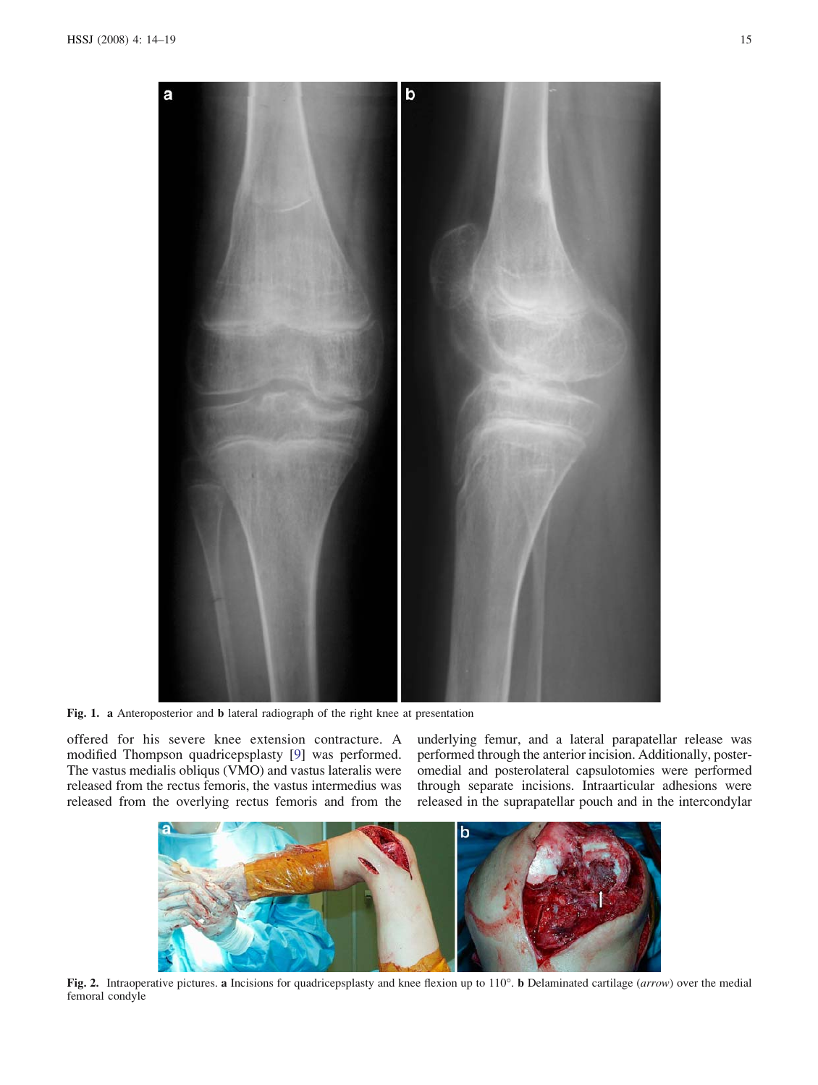<span id="page-1-0"></span>

Fig. 1. a Anteroposterior and b lateral radiograph of the right knee at presentation

offered for his severe knee extension contracture. A modified Thompson quadricepsplasty [\[9](#page-5-0)] was performed. The vastus medialis obliqus (VMO) and vastus lateralis were released from the rectus femoris, the vastus intermedius was released from the overlying rectus femoris and from the underlying femur, and a lateral parapatellar release was performed through the anterior incision. Additionally, posteromedial and posterolateral capsulotomies were performed through separate incisions. Intraarticular adhesions were released in the suprapatellar pouch and in the intercondylar



Fig. 2. Intraoperative pictures. a Incisions for quadricepsplasty and knee flexion up to 110°. b Delaminated cartilage (arrow) over the medial femoral condyle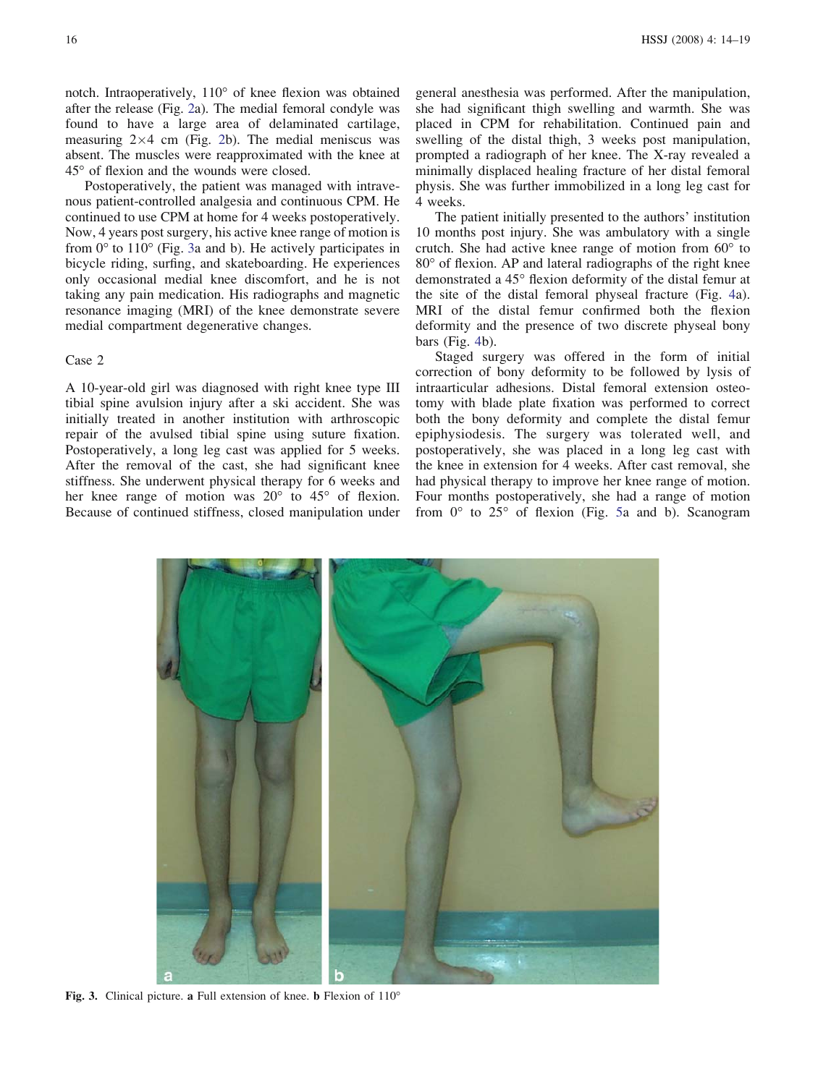notch. Intraoperatively,  $110^{\circ}$  of knee flexion was obtained after the release (Fig. [2a](#page-1-0)). The medial femoral condyle was found to have a large area of delaminated cartilage, measuring  $2\times4$  $2\times4$  cm (Fig. 2b). The medial meniscus was absent. The muscles were reapproximated with the knee at  $45^{\circ}$  of flexion and the wounds were closed.

Postoperatively, the patient was managed with intravenous patient-controlled analgesia and continuous CPM. He continued to use CPM at home for 4 weeks postoperatively. Now, 4 years post surgery, his active knee range of motion is from  $0^{\circ}$  to 110 $^{\circ}$  (Fig. 3a and b). He actively participates in bicycle riding, surfing, and skateboarding. He experiences only occasional medial knee discomfort, and he is not taking any pain medication. His radiographs and magnetic resonance imaging (MRI) of the knee demonstrate severe medial compartment degenerative changes.

## Case 2

A 10-year-old girl was diagnosed with right knee type III tibial spine avulsion injury after a ski accident. She was initially treated in another institution with arthroscopic repair of the avulsed tibial spine using suture fixation. Postoperatively, a long leg cast was applied for 5 weeks. After the removal of the cast, she had significant knee stiffness. She underwent physical therapy for 6 weeks and her knee range of motion was  $20^{\circ}$  to  $45^{\circ}$  of flexion. Because of continued stiffness, closed manipulation under general anesthesia was performed. After the manipulation, she had significant thigh swelling and warmth. She was placed in CPM for rehabilitation. Continued pain and swelling of the distal thigh, 3 weeks post manipulation, prompted a radiograph of her knee. The X-ray revealed a minimally displaced healing fracture of her distal femoral physis. She was further immobilized in a long leg cast for 4 weeks.

The patient initially presented to the authors' institution 10 months post injury. She was ambulatory with a single crutch. She had active knee range of motion from  $60^{\circ}$  to  $80^{\circ}$  of flexion. AP and lateral radiographs of the right knee demonstrated a  $45^\circ$  flexion deformity of the distal femur at the site of the distal femoral physeal fracture (Fig. [4](#page-3-0)a). MRI of the distal femur confirmed both the flexion deformity and the presence of two discrete physeal bony bars (Fig. [4b](#page-3-0)).

Staged surgery was offered in the form of initial correction of bony deformity to be followed by lysis of intraarticular adhesions. Distal femoral extension osteotomy with blade plate fixation was performed to correct both the bony deformity and complete the distal femur epiphysiodesis. The surgery was tolerated well, and postoperatively, she was placed in a long leg cast with the knee in extension for 4 weeks. After cast removal, she had physical therapy to improve her knee range of motion. Four months postoperatively, she had a range of motion from  $0^{\circ}$  to  $25^{\circ}$  of flexion (Fig. [5a](#page-4-0) and b). Scanogram



Fig. 3. Clinical picture. a Full extension of knee. b Flexion of 110°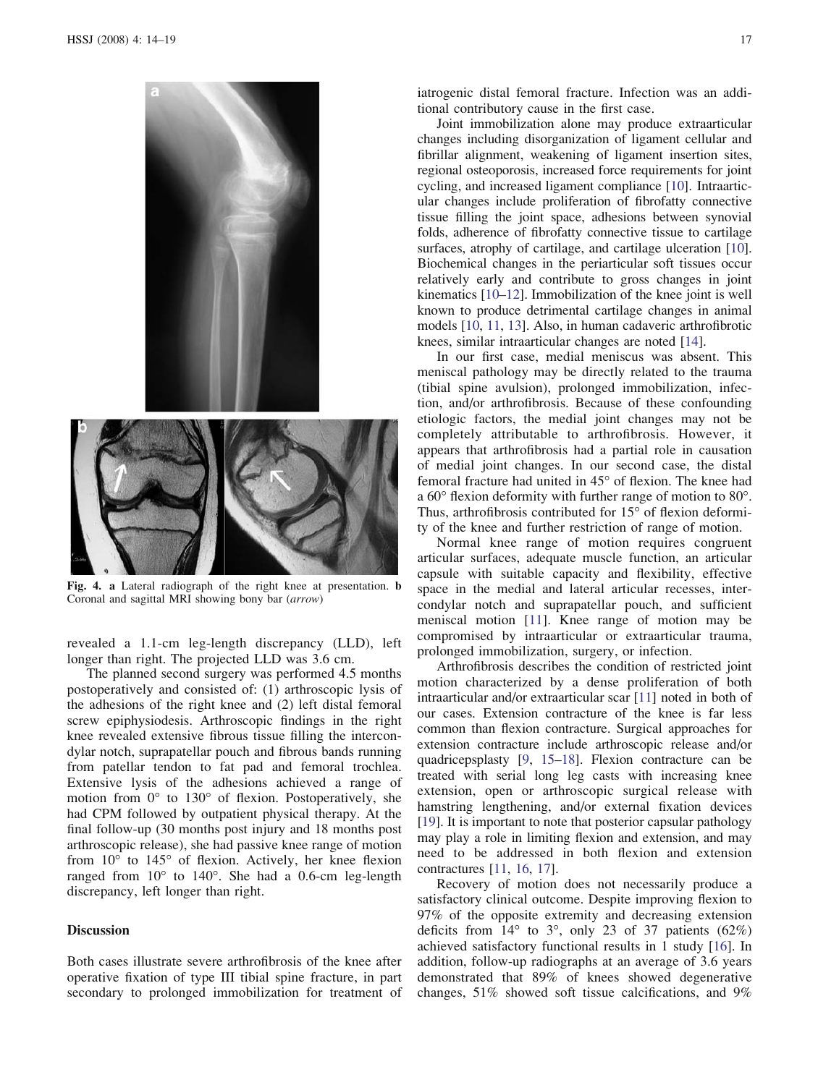<span id="page-3-0"></span>

Fig. 4. a Lateral radiograph of the right knee at presentation. b Coronal and sagittal MRI showing bony bar (arrow)

revealed a 1.1-cm leg-length discrepancy (LLD), left longer than right. The projected LLD was 3.6 cm.

The planned second surgery was performed 4.5 months postoperatively and consisted of: (1) arthroscopic lysis of the adhesions of the right knee and (2) left distal femoral screw epiphysiodesis. Arthroscopic findings in the right knee revealed extensive fibrous tissue filling the intercondylar notch, suprapatellar pouch and fibrous bands running from patellar tendon to fat pad and femoral trochlea. Extensive lysis of the adhesions achieved a range of motion from  $0^{\circ}$  to 130 $^{\circ}$  of flexion. Postoperatively, she had CPM followed by outpatient physical therapy. At the final follow-up (30 months post injury and 18 months post arthroscopic release), she had passive knee range of motion from  $10^{\circ}$  to  $145^{\circ}$  of flexion. Actively, her knee flexion ranged from  $10^{\circ}$  to  $140^{\circ}$ . She had a 0.6-cm leg-length discrepancy, left longer than right.

## Discussion

Both cases illustrate severe arthrofibrosis of the knee after operative fixation of type III tibial spine fracture, in part secondary to prolonged immobilization for treatment of iatrogenic distal femoral fracture. Infection was an additional contributory cause in the first case.

Joint immobilization alone may produce extraarticular changes including disorganization of ligament cellular and fibrillar alignment, weakening of ligament insertion sites, regional osteoporosis, increased force requirements for joint cycling, and increased ligament compliance [\[10](#page-5-0)]. Intraarticular changes include proliferation of fibrofatty connective tissue filling the joint space, adhesions between synovial folds, adherence of fibrofatty connective tissue to cartilage surfaces, atrophy of cartilage, and cartilage ulceration [[10\]](#page-5-0). Biochemical changes in the periarticular soft tissues occur relatively early and contribute to gross changes in joint kinematics [[10](#page-5-0)–[12\]](#page-5-0). Immobilization of the knee joint is well known to produce detrimental cartilage changes in animal models [\[10](#page-5-0), [11](#page-5-0), [13\]](#page-5-0). Also, in human cadaveric arthrofibrotic knees, similar intraarticular changes are noted [[14\]](#page-5-0).

In our first case, medial meniscus was absent. This meniscal pathology may be directly related to the trauma (tibial spine avulsion), prolonged immobilization, infection, and/or arthrofibrosis. Because of these confounding etiologic factors, the medial joint changes may not be completely attributable to arthrofibrosis. However, it appears that arthrofibrosis had a partial role in causation of medial joint changes. In our second case, the distal femoral fracture had united in  $45^{\circ}$  of flexion. The knee had a  $60^{\circ}$  flexion deformity with further range of motion to  $80^{\circ}$ . Thus, arthrofibrosis contributed for  $15^{\circ}$  of flexion deformity of the knee and further restriction of range of motion.

Normal knee range of motion requires congruent articular surfaces, adequate muscle function, an articular capsule with suitable capacity and flexibility, effective space in the medial and lateral articular recesses, intercondylar notch and suprapatellar pouch, and sufficient meniscal motion [\[11](#page-5-0)]. Knee range of motion may be compromised by intraarticular or extraarticular trauma, prolonged immobilization, surgery, or infection.

Arthrofibrosis describes the condition of restricted joint motion characterized by a dense proliferation of both intraarticular and/or extraarticular scar [[11\]](#page-5-0) noted in both of our cases. Extension contracture of the knee is far less common than flexion contracture. Surgical approaches for extension contracture include arthroscopic release and/or quadricepsplasty [\[9](#page-5-0), [15–18\]](#page-5-0). Flexion contracture can be treated with serial long leg casts with increasing knee extension, open or arthroscopic surgical release with hamstring lengthening, and/or external fixation devices [\[19](#page-5-0)]. It is important to note that posterior capsular pathology may play a role in limiting flexion and extension, and may need to be addressed in both flexion and extension contractures [\[11](#page-5-0), [16](#page-5-0), [17](#page-5-0)].

Recovery of motion does not necessarily produce a satisfactory clinical outcome. Despite improving flexion to 97% of the opposite extremity and decreasing extension deficits from  $14^{\circ}$  to  $3^{\circ}$ , only 23 of 37 patients (62%) achieved satisfactory functional results in 1 study [[16\]](#page-5-0). In addition, follow-up radiographs at an average of 3.6 years demonstrated that 89% of knees showed degenerative changes, 51% showed soft tissue calcifications, and 9%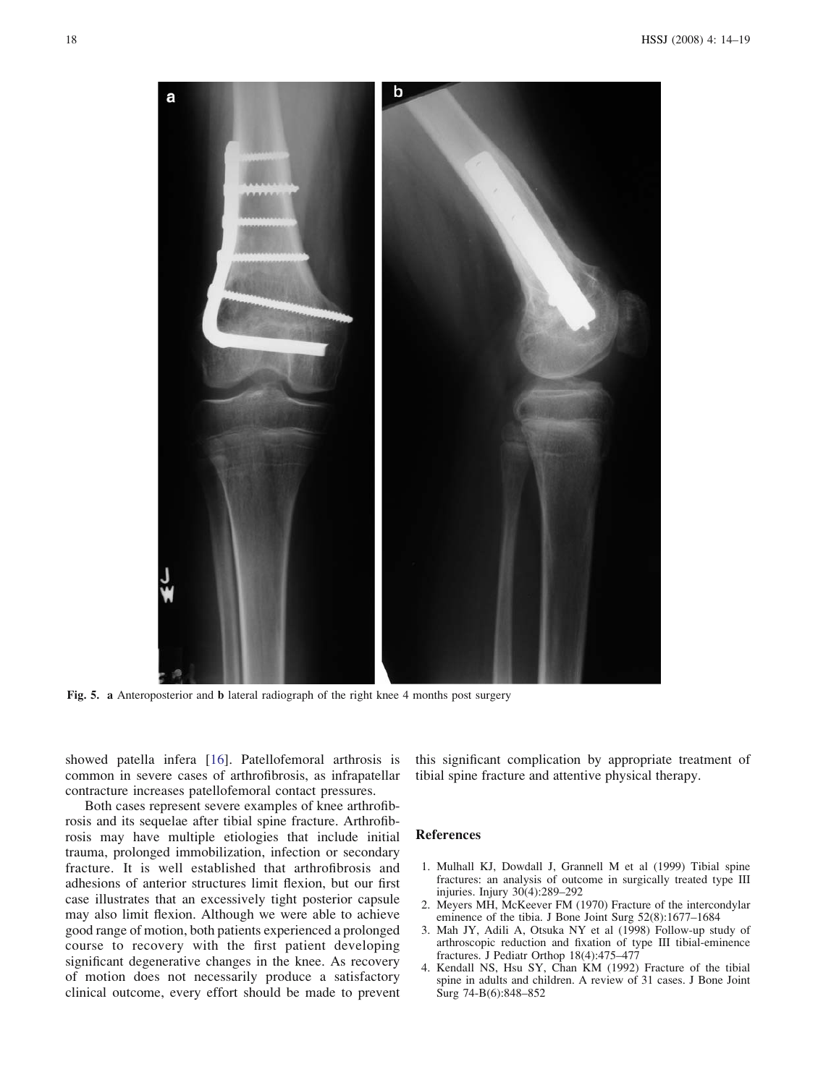<span id="page-4-0"></span>

Fig. 5. a Anteroposterior and b lateral radiograph of the right knee 4 months post surgery

showed patella infera [\[16](#page-5-0)]. Patellofemoral arthrosis is common in severe cases of arthrofibrosis, as infrapatellar contracture increases patellofemoral contact pressures.

Both cases represent severe examples of knee arthrofibrosis and its sequelae after tibial spine fracture. Arthrofibrosis may have multiple etiologies that include initial trauma, prolonged immobilization, infection or secondary fracture. It is well established that arthrofibrosis and adhesions of anterior structures limit flexion, but our first case illustrates that an excessively tight posterior capsule may also limit flexion. Although we were able to achieve good range of motion, both patients experienced a prolonged course to recovery with the first patient developing significant degenerative changes in the knee. As recovery of motion does not necessarily produce a satisfactory clinical outcome, every effort should be made to prevent

this significant complication by appropriate treatment of tibial spine fracture and attentive physical therapy.

#### References

- 1. Mulhall KJ, Dowdall J, Grannell M et al (1999) Tibial spine fractures: an analysis of outcome in surgically treated type III injuries. Injury 30(4):289–292
- 2. Meyers MH, McKeever FM (1970) Fracture of the intercondylar eminence of the tibia. J Bone Joint Surg 52(8):1677–1684
- 3. Mah JY, Adili A, Otsuka NY et al (1998) Follow-up study of arthroscopic reduction and fixation of type III tibial-eminence fractures. J Pediatr Orthop 18(4):475–477
- 4. Kendall NS, Hsu SY, Chan KM (1992) Fracture of the tibial spine in adults and children. A review of 31 cases. J Bone Joint Surg 74-B(6):848–852